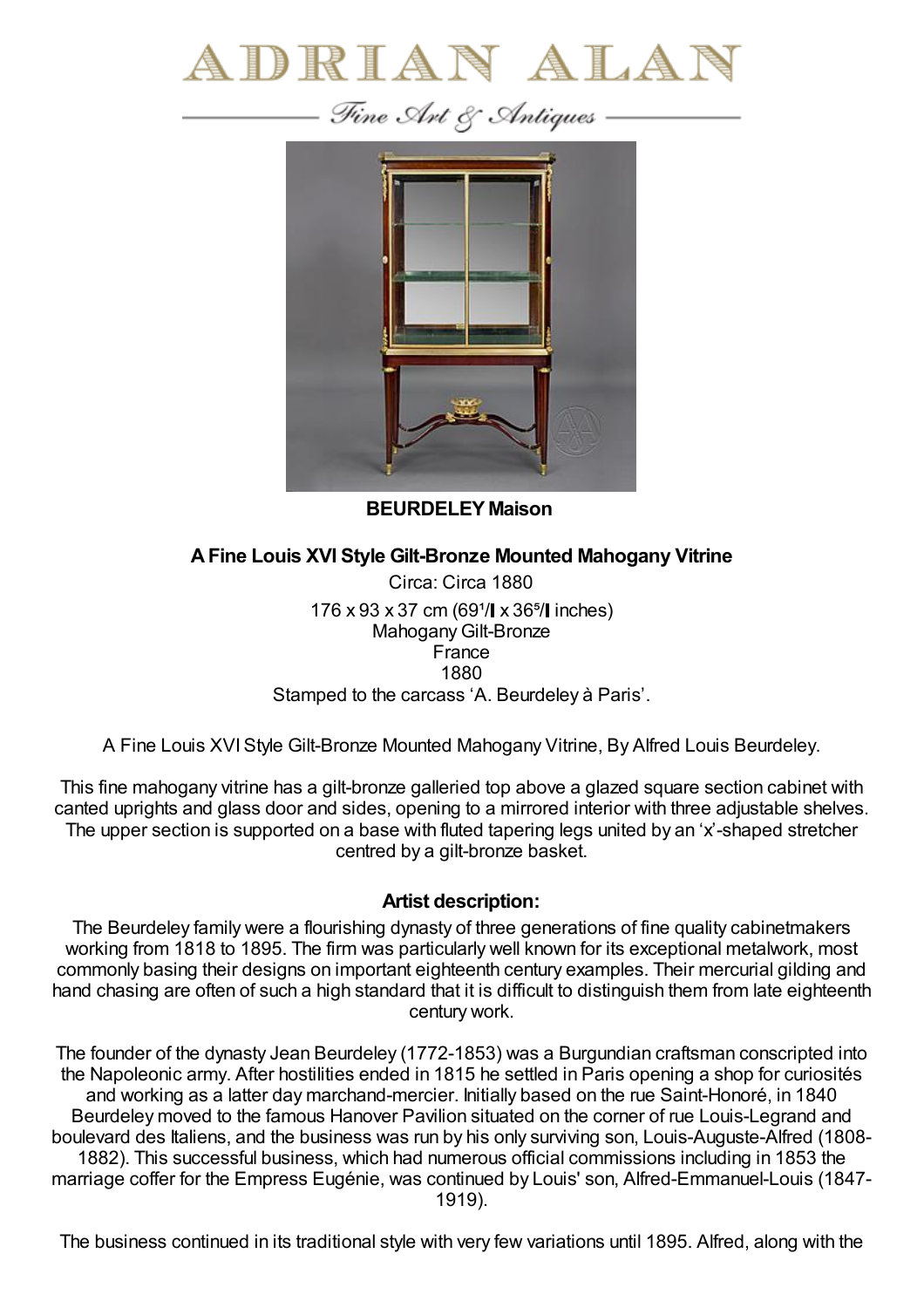



**BEURDELEYMaison**

## **AFine Louis XVI Style Gilt-Bronze Mounted Mahogany Vitrine**

Circa: Circa 1880 176 x 93 x 37 cm (69 $1/$  x 36 $5/$  inches) Mahogany Gilt-Bronze France 1880 Stamped to the carcass 'A. Beurdeley à Paris'.

A Fine Louis XVIStyle Gilt-Bronze Mounted Mahogany Vitrine, By Alfred Louis Beurdeley.

This fine mahogany vitrine has a gilt-bronze galleried top above a glazed square section cabinet with canted uprights and glass door and sides, opening to a mirrored interior with three adjustable shelves. The upper section is supported on a base with fluted tapering legs united by an 'x'-shaped stretcher centred by a gilt-bronze basket.

## **Artist description:**

The Beurdeley family were a flourishing dynasty of three generations of fine quality cabinetmakers working from 1818 to 1895. The firm was particularly well known for its exceptional metalwork, most commonly basing their designs on important eighteenth century examples. Their mercurial gilding and hand chasing are often of such a high standard that it is difficult to distinguish them from late eighteenth century work.

The founder of the dynasty Jean Beurdeley (1772-1853) was a Burgundian craftsman conscripted into the Napoleonic army. After hostilities ended in 1815 he settled in Paris opening a shop for curiosités and working as a latter day marchand-mercier. Initially based on the rue Saint-Honoré, in 1840 Beurdeley moved to the famous Hanover Pavilion situated on the corner of rue Louis-Legrand and boulevard des Italiens, and the business was run by his only surviving son, Louis-Auguste-Alfred (1808- 1882). This successful business, which had numerous official commissions including in 1853 the marriage coffer for the Empress Eugénie, was continued by Louis' son, Alfred-Emmanuel-Louis (1847- 1919).

The business continued in its traditional style with very few variations until 1895. Alfred, along with the